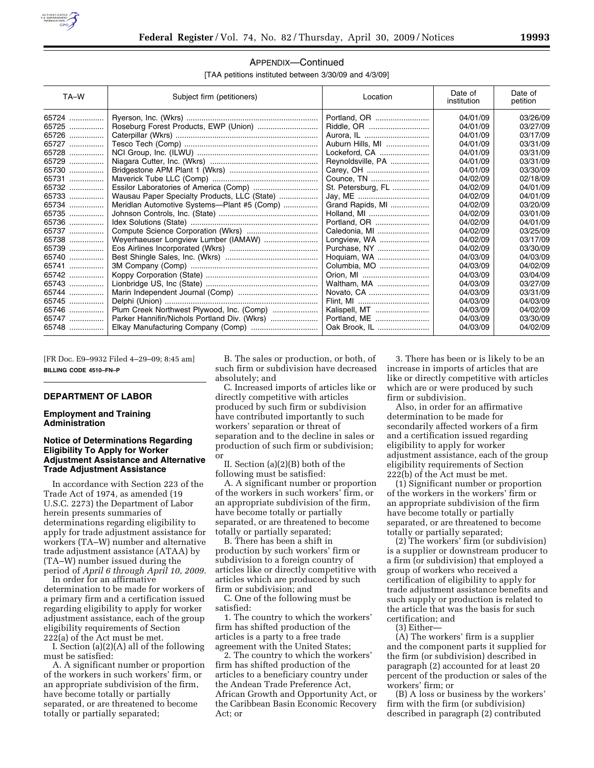

#### TA–W Date of Subject firm (petitioners) and Date of Location Date of Date of institution Date of petition 65724 ................ Ryerson, Inc. (Wkrs) ............................................................. Portland, OR ......................... 04/01/09 03/26/09 65725 ................ Roseburg Forest Products, EWP (Union) ............................ Riddle, OR ............................ 04/01/09 03/27/09 65726 ................ Caterpillar (Wkrs) .................................................................. Aurora, IL .............................. 04/01/09 03/17/09 65727 ................ Tesco Tech (Comp) .............................................................. Auburn Hills, MI .................... 04/01/09 03/31/09 65728 ................ NCI Group, Inc. (ILWU) ........................................................ Lockeford, CA ....................... 04/01/09 03/31/09 65729 ................ Niagara Cutter, Inc. (Wkrs) .................................................. Reynoldsville, PA .................. 04/01/09 03/31/09 65730 ................ Bridgestone APM Plant 1 (Wkrs) ......................................... Carey, OH ............................. 04/01/09 03/30/09 65731 ................ Maverick Tube LLC (Comp) ................................................. Counce, TN ........................... 04/02/09 02/18/09 65732 ................ Essilor Laboratories of America (Comp) .............................. St. Petersburg, FL ................. 04/02/09 04/01/09 65733 ................ Wausau Paper Specialty Products, LLC (State) .................. Jay, ME ................................. 04/02/09 04/01/09 65734 ................ | Meridlan Automotive Systems—Plant #5 (Comp) .................. | Grand Rapids, MI ...................... | 04/02/09 | 03/20/09<br>65735 ................ | Johnson Controls, Inc. (State) .............. 65735 ................ Johnson Controls, Inc. (State) .............................................. Holland, MI ............................ 04/02/09 03/01/09 65736 ................ Idex Solutions (State) ........................................................... Portland, OR ......................... 04/02/09 04/01/09 65737 ................ Compute Science Corporation (Wkrs) ................................. Caledonia, MI ........................ 04/02/09 03/25/09 65738 ................ Weyerhaeuser Longview Lumber (IAMAW) ......................... Longview, WA ....................... 04/02/09 03/17/09 65739 ................ Eos Airlines Incorporated (Wkrs) ......................................... Purchase, NY ........................ 04/02/09 03/30/09 65740 ................ Best Shingle Sales, Inc. (Wkrs) ........................................... Hoquiam, WA ........................ 04/03/09 04/03/09 65741 ................ 3M Company (Comp) ........................................................... Columbia, MO ....................... 04/03/09 04/02/09 65742 ................ Koppy Corporation (State) .................................................... Orion, MI ............................... 04/03/09 03/04/09 65743 ................ Lionbridge US, Inc (State) .................................................... Waltham, MA ........................ 04/03/09 03/27/09 65744 ................ Marin Independent Journal (Comp) ..................................... Novato, CA ............................ 04/03/09 03/31/09 65745 ................ Delphi (Union) ....................................................................... Flint, MI ................................. 04/03/09 04/03/09 65746 ................ Plum Creek Northwest Plywood, Inc. (Comp) ......................... | Kalispell, MT ............................ | 04/03/09 | 04/02/09<br>65747 ................. | Parker Hannifin/Nichols Portland Div. 65747 ................ Parker Hannifin/Nichols Portland Div. (Wkrs) ...................... Portland, ME ......................... 04/03/09 03/30/09 65748 ................ Elkay Manufacturing Company (Comp) ............................... Oak Brook, IL ........................ 04/03/09 04/02/09

# APPENDIX—Continued

[TAA petitions instituted between 3/30/09 and 4/3/09]

[FR Doc. E9–9932 Filed 4–29–09; 8:45 am] **BILLING CODE 4510–FN–P** 

## **DEPARTMENT OF LABOR**

#### **Employment and Training Administration**

## **Notice of Determinations Regarding Eligibility To Apply for Worker Adjustment Assistance and Alternative Trade Adjustment Assistance**

In accordance with Section 223 of the Trade Act of 1974, as amended (19 U.S.C. 2273) the Department of Labor herein presents summaries of determinations regarding eligibility to apply for trade adjustment assistance for workers (TA–W) number and alternative trade adjustment assistance (ATAA) by (TA–W) number issued during the period of *April 6 through April 10, 2009.* 

In order for an affirmative determination to be made for workers of a primary firm and a certification issued regarding eligibility to apply for worker adjustment assistance, each of the group eligibility requirements of Section 222(a) of the Act must be met.

I. Section (a)(2)(A) all of the following must be satisfied:

A. A significant number or proportion of the workers in such workers' firm, or an appropriate subdivision of the firm, have become totally or partially separated, or are threatened to become totally or partially separated;

B. The sales or production, or both, of such firm or subdivision have decreased absolutely; and

C. Increased imports of articles like or directly competitive with articles produced by such firm or subdivision have contributed importantly to such workers' separation or threat of separation and to the decline in sales or production of such firm or subdivision; or

II. Section (a)(2)(B) both of the following must be satisfied:

A. A significant number or proportion of the workers in such workers' firm, or an appropriate subdivision of the firm, have become totally or partially separated, or are threatened to become totally or partially separated;

B. There has been a shift in production by such workers' firm or subdivision to a foreign country of articles like or directly competitive with articles which are produced by such firm or subdivision; and

C. One of the following must be satisfied:

1. The country to which the workers' firm has shifted production of the articles is a party to a free trade agreement with the United States;

2. The country to which the workers' firm has shifted production of the articles to a beneficiary country under the Andean Trade Preference Act, African Growth and Opportunity Act, or the Caribbean Basin Economic Recovery Act; or

3. There has been or is likely to be an increase in imports of articles that are like or directly competitive with articles which are or were produced by such firm or subdivision.

Also, in order for an affirmative determination to be made for secondarily affected workers of a firm and a certification issued regarding eligibility to apply for worker adjustment assistance, each of the group eligibility requirements of Section 222(b) of the Act must be met.

(1) Significant number or proportion of the workers in the workers' firm or an appropriate subdivision of the firm have become totally or partially separated, or are threatened to become totally or partially separated;

(2) The workers' firm (or subdivision) is a supplier or downstream producer to a firm (or subdivision) that employed a group of workers who received a certification of eligibility to apply for trade adjustment assistance benefits and such supply or production is related to the article that was the basis for such certification; and

(3) Either—

(A) The workers' firm is a supplier and the component parts it supplied for the firm (or subdivision) described in paragraph (2) accounted for at least 20 percent of the production or sales of the workers' firm; or

(B) A loss or business by the workers' firm with the firm (or subdivision) described in paragraph (2) contributed